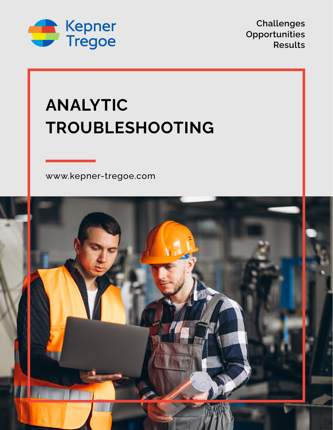

**Challenges Opportunities Results**

## **ANALYTIC TROUBLESHOOTING**

[www.kepner-tregoe.com](http://www.kepner-tregoe.com)